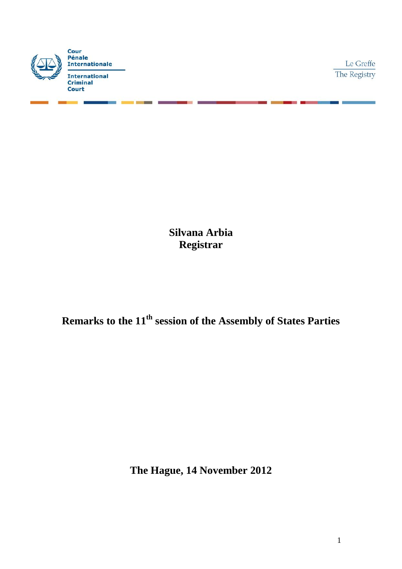

Le Greffe The Registry

**Silvana Arbia Registrar** 

**Remarks to the 11th session of the Assembly of States Parties**

**The Hague, 14 November 2012**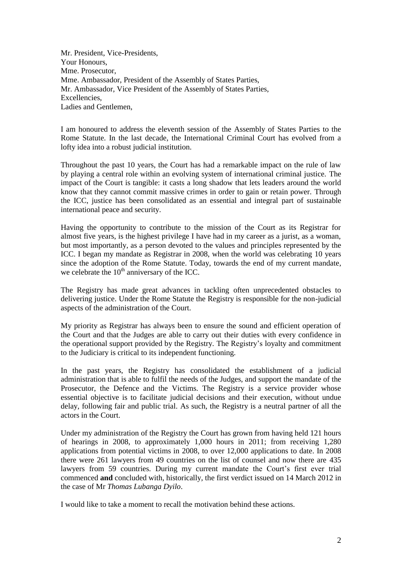Mr. President, Vice-Presidents, Your Honours, Mme. Prosecutor, Mme. Ambassador, President of the Assembly of States Parties, Mr. Ambassador, Vice President of the Assembly of States Parties, Excellencies, Ladies and Gentlemen,

I am honoured to address the eleventh session of the Assembly of States Parties to the Rome Statute. In the last decade, the International Criminal Court has evolved from a lofty idea into a robust judicial institution.

Throughout the past 10 years, the Court has had a remarkable impact on the rule of law by playing a central role within an evolving system of international criminal justice. The impact of the Court is tangible: it casts a long shadow that lets leaders around the world know that they cannot commit massive crimes in order to gain or retain power. Through the ICC, justice has been consolidated as an essential and integral part of sustainable international peace and security.

Having the opportunity to contribute to the mission of the Court as its Registrar for almost five years, is the highest privilege I have had in my career as a jurist, as a woman, but most importantly, as a person devoted to the values and principles represented by the ICC. I began my mandate as Registrar in 2008, when the world was celebrating 10 years since the adoption of the Rome Statute. Today, towards the end of my current mandate, we celebrate the  $10<sup>th</sup>$  anniversary of the ICC.

The Registry has made great advances in tackling often unprecedented obstacles to delivering justice. Under the Rome Statute the Registry is responsible for the non-judicial aspects of the administration of the Court.

My priority as Registrar has always been to ensure the sound and efficient operation of the Court and that the Judges are able to carry out their duties with every confidence in the operational support provided by the Registry. The Registry's loyalty and commitment to the Judiciary is critical to its independent functioning.

In the past years, the Registry has consolidated the establishment of a judicial administration that is able to fulfil the needs of the Judges, and support the mandate of the Prosecutor, the Defence and the Victims. The Registry is a service provider whose essential objective is to facilitate judicial decisions and their execution, without undue delay, following fair and public trial. As such, the Registry is a neutral partner of all the actors in the Court.

Under my administration of the Registry the Court has grown from having held 121 hours of hearings in 2008, to approximately 1,000 hours in 2011; from receiving 1,280 applications from potential victims in 2008, to over 12,000 applications to date. In 2008 there were 261 lawyers from 49 countries on the list of counsel and now there are 435 lawyers from 59 countries. During my current mandate the Court's first ever trial commenced **and** concluded with, historically, the first verdict issued on 14 March 2012 in the case of Mr *Thomas Lubanga Dyilo*.

I would like to take a moment to recall the motivation behind these actions.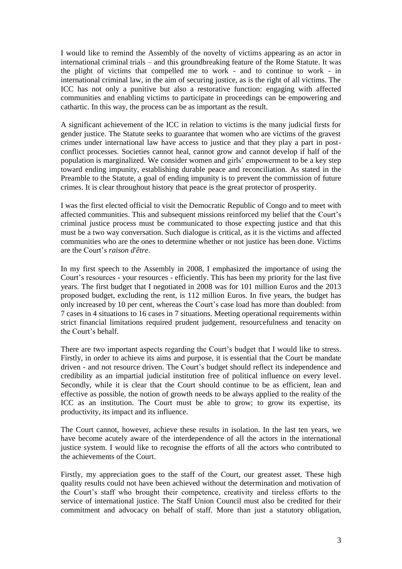I would like to remind the Assembly of the novelty of victims appearing as an actor in international criminal trials – and this groundbreaking feature of the Rome Statute. It was the plight of victims that compelled me to work - and to continue to work - in international criminal law, in the aim of securing justice, as is the right of all victims. The ICC has not only a punitive but also a restorative function: engaging with affected communities and enabling victims to participate in proceedings can be empowering and cathartic. In this way, the process can be as important as the result.

A significant achievement of the ICC in relation to victims is the many judicial firsts for gender justice. The Statute seeks to guarantee that women who are victims of the gravest crimes under international law have access to justice and that they play a part in postconflict processes. Societies cannot heal, cannot grow and cannot develop if half of the population is marginalized. We consider women and girls' empowerment to be a key step toward ending impunity, establishing durable peace and reconciliation. As stated in the Preamble to the Statute, a goal of ending impunity is to prevent the commission of future crimes. It is clear throughout history that peace is the great protector of prosperity.

I was the first elected official to visit the Democratic Republic of Congo and to meet with affected communities. This and subsequent missions reinforced my belief that the Court's criminal justice process must be communicated to those expecting justice and that this must be a two way conversation. Such dialogue is critical, as it is the victims and affected communities who are the ones to determine whether or not justice has been done. Victims are the Court's *raison d'être*.

In my first speech to the Assembly in 2008, I emphasized the importance of using the Court's resources - your resources - efficiently. This has been my priority for the last five years. The first budget that I negotiated in 2008 was for 101 million Euros and the 2013 proposed budget, excluding the rent, is 112 million Euros. In five years, the budget has only increased by 10 per cent, whereas the Court's case load has more than doubled: from 7 cases in 4 situations to 16 cases in 7 situations. Meeting operational requirements within strict financial limitations required prudent judgement, resourcefulness and tenacity on the Court's behalf.

There are two important aspects regarding the Court's budget that I would like to stress. Firstly, in order to achieve its aims and purpose, it is essential that the Court be mandate driven - and not resource driven. The Court's budget should reflect its independence and credibility as an impartial judicial institution free of political influence on every level. Secondly, while it is clear that the Court should continue to be as efficient, lean and effective as possible, the notion of growth needs to be always applied to the reality of the ICC as an institution. The Court must be able to grow; to grow its expertise, its productivity, its impact and its influence.

The Court cannot, however, achieve these results in isolation. In the last ten years, we have become acutely aware of the interdependence of all the actors in the international justice system. I would like to recognise the efforts of all the actors who contributed to the achievements of the Court.

Firstly, my appreciation goes to the staff of the Court, our greatest asset. These high quality results could not have been achieved without the determination and motivation of the Court's staff who brought their competence, creativity and tireless efforts to the service of international justice. The Staff Union Council must also be credited for their commitment and advocacy on behalf of staff. More than just a statutory obligation,